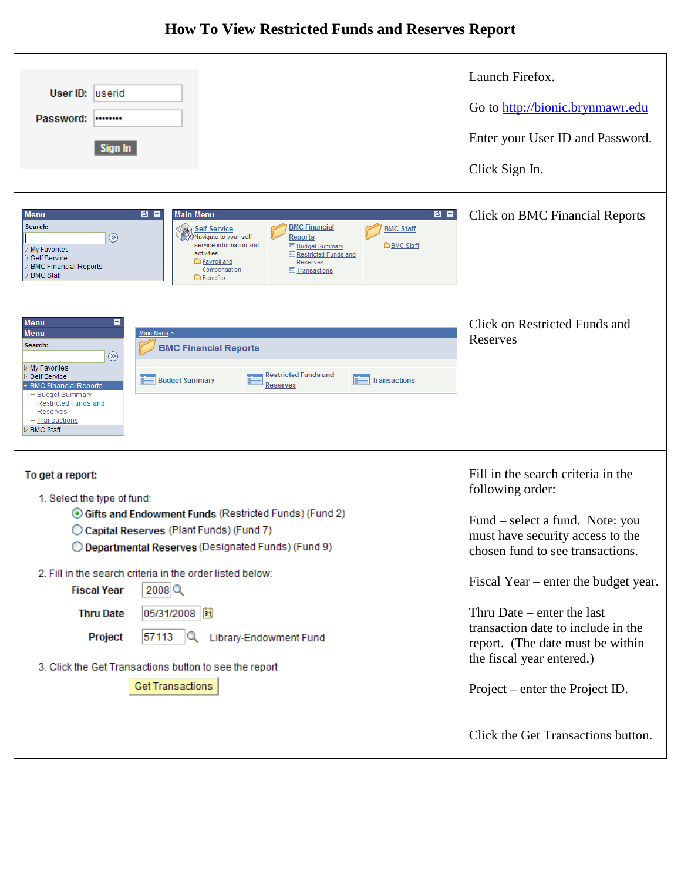## **How To View Restricted Funds and Reserves Report**

| User ID: userid<br>Password:<br><br>Sign In<br>8 E<br>ø a<br><b>Main Menu</b><br><b>Menu</b><br>Search:<br><b>BMC Financial</b><br>Self Service<br><b>BMC Staff</b><br>$\circledR$<br>∭Navigate to your self<br>Reports<br>service information and<br><b>BMC Staff</b><br><b>Budget Summary</b>                                                                       | Launch Firefox.<br>Go to http://bionic.brynmawr.edu<br>Enter your User ID and Password.<br>Click Sign In.<br><b>Click on BMC Financial Reports</b> |
|-----------------------------------------------------------------------------------------------------------------------------------------------------------------------------------------------------------------------------------------------------------------------------------------------------------------------------------------------------------------------|----------------------------------------------------------------------------------------------------------------------------------------------------|
| My Favorites<br>activities.<br><b>E</b> Restricted Funds and<br><b>Self Service</b><br>Payroll and<br><b>Reserves</b><br><b>BMC Financial Reports</b><br>Compensation<br><b>E</b> Transactions<br><b>BMC Staff</b><br><b>Benefits</b>                                                                                                                                 |                                                                                                                                                    |
| о<br><b>Menu</b><br><b>Menu</b><br>Main Menu ><br>Search:<br><b>BMC Financial Reports</b><br>$\circledR$<br>My Favorites<br><b>Restricted Funds and</b><br>Self Service<br><b>Budget Summary</b><br><b>Transactions</b><br>▼ BMC Financial Reports<br><b>Reserves</b><br>- Budget Summary<br>- Restricted Funds and<br>Reserves<br>- Transactions<br><b>BMC Staff</b> | Click on Restricted Funds and<br>Reserves                                                                                                          |
| To get a report:<br>1. Select the type of fund:                                                                                                                                                                                                                                                                                                                       | Fill in the search criteria in the<br>following order:                                                                                             |
| Gifts and Endowment Funds (Restricted Funds) (Fund 2)<br>C Capital Reserves (Plant Funds) (Fund 7)<br>O Departmental Reserves (Designated Funds) (Fund 9)                                                                                                                                                                                                             | Fund – select a fund. Note: you<br>must have security access to the<br>chosen fund to see transactions.                                            |
| 2. Fill in the search criteria in the order listed below:<br>2008<br><b>Fiscal Year</b>                                                                                                                                                                                                                                                                               | Fiscal Year – enter the budget year.                                                                                                               |
| 05/31/2008<br><b>Thru Date</b><br>Project<br>57113<br>$\alpha$<br>Library-Endowment Fund                                                                                                                                                                                                                                                                              | Thru Date $-$ enter the last<br>transaction date to include in the<br>report. (The date must be within                                             |
| 3. Click the Get Transactions button to see the report                                                                                                                                                                                                                                                                                                                | the fiscal year entered.)                                                                                                                          |
| Get Transactions                                                                                                                                                                                                                                                                                                                                                      | Project – enter the Project ID.                                                                                                                    |
|                                                                                                                                                                                                                                                                                                                                                                       | Click the Get Transactions button.                                                                                                                 |